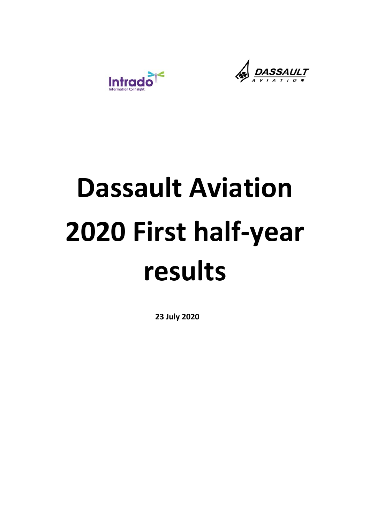



# **Dassault Aviation 2020 First half‐year results**

**23 July 2020**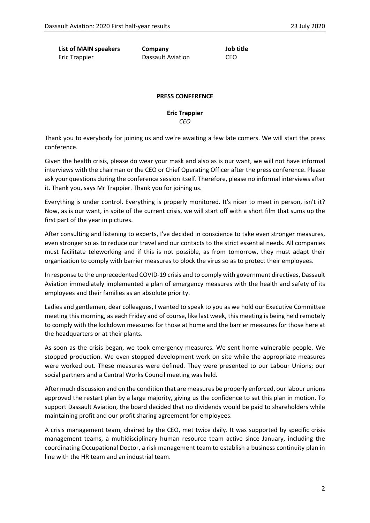**List of MAIN speakers Company Job title**  Eric Trappier **Dassault Aviation** CEO

### **PRESS CONFERENCE**

**Eric Trappier**  *CEO* 

Thank you to everybody for joining us and we're awaiting a few late comers. We will start the press conference.

Given the health crisis, please do wear your mask and also as is our want, we will not have informal interviews with the chairman or the CEO or Chief Operating Officer after the press conference. Please ask your questions during the conference session itself. Therefore, please no informal interviews after it. Thank you, says Mr Trappier. Thank you for joining us.

Everything is under control. Everything is properly monitored. It's nicer to meet in person, isn't it? Now, as is our want, in spite of the current crisis, we will start off with a short film that sums up the first part of the year in pictures.

After consulting and listening to experts, I've decided in conscience to take even stronger measures, even stronger so as to reduce our travel and our contacts to the strict essential needs. All companies must facilitate teleworking and if this is not possible, as from tomorrow, they must adapt their organization to comply with barrier measures to block the virus so as to protect their employees.

In response to the unprecedented COVID‐19 crisis and to comply with government directives, Dassault Aviation immediately implemented a plan of emergency measures with the health and safety of its employees and their families as an absolute priority.

Ladies and gentlemen, dear colleagues, I wanted to speak to you as we hold our Executive Committee meeting this morning, as each Friday and of course, like last week, this meeting is being held remotely to comply with the lockdown measures for those at home and the barrier measures for those here at the headquarters or at their plants.

As soon as the crisis began, we took emergency measures. We sent home vulnerable people. We stopped production. We even stopped development work on site while the appropriate measures were worked out. These measures were defined. They were presented to our Labour Unions; our social partners and a Central Works Council meeting was held.

After much discussion and on the condition that are measures be properly enforced, our labour unions approved the restart plan by a large majority, giving us the confidence to set this plan in motion. To support Dassault Aviation, the board decided that no dividends would be paid to shareholders while maintaining profit and our profit sharing agreement for employees.

A crisis management team, chaired by the CEO, met twice daily. It was supported by specific crisis management teams, a multidisciplinary human resource team active since January, including the coordinating Occupational Doctor, a risk management team to establish a business continuity plan in line with the HR team and an industrial team.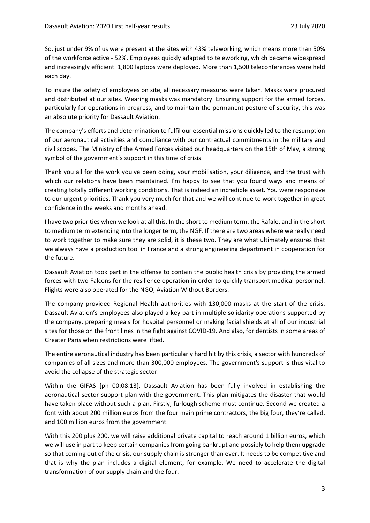So, just under 9% of us were present at the sites with 43% teleworking, which means more than 50% of the workforce active ‐ 52%. Employees quickly adapted to teleworking, which became widespread and increasingly efficient. 1,800 laptops were deployed. More than 1,500 teleconferences were held each day.

To insure the safety of employees on site, all necessary measures were taken. Masks were procured and distributed at our sites. Wearing masks was mandatory. Ensuring support for the armed forces, particularly for operations in progress, and to maintain the permanent posture of security, this was an absolute priority for Dassault Aviation.

The company's efforts and determination to fulfil our essential missions quickly led to the resumption of our aeronautical activities and compliance with our contractual commitments in the military and civil scopes. The Ministry of the Armed Forces visited our headquarters on the 15th of May, a strong symbol of the government's support in this time of crisis.

Thank you all for the work you've been doing, your mobilisation, your diligence, and the trust with which our relations have been maintained. I'm happy to see that you found ways and means of creating totally different working conditions. That is indeed an incredible asset. You were responsive to our urgent priorities. Thank you very much for that and we will continue to work together in great confidence in the weeks and months ahead.

I have two priorities when we look at all this. In the short to medium term, the Rafale, and in the short to medium term extending into the longer term, the NGF. If there are two areas where we really need to work together to make sure they are solid, it is these two. They are what ultimately ensures that we always have a production tool in France and a strong engineering department in cooperation for the future.

Dassault Aviation took part in the offense to contain the public health crisis by providing the armed forces with two Falcons for the resilience operation in order to quickly transport medical personnel. Flights were also operated for the NGO, Aviation Without Borders.

The company provided Regional Health authorities with 130,000 masks at the start of the crisis. Dassault Aviation's employees also played a key part in multiple solidarity operations supported by the company, preparing meals for hospital personnel or making facial shields at all of our industrial sites for those on the front lines in the fight against COVID‐19. And also, for dentists in some areas of Greater Paris when restrictions were lifted.

The entire aeronautical industry has been particularly hard hit by this crisis, a sector with hundreds of companies of all sizes and more than 300,000 employees. The government's support is thus vital to avoid the collapse of the strategic sector.

Within the GIFAS [ph 00:08:13], Dassault Aviation has been fully involved in establishing the aeronautical sector support plan with the government. This plan mitigates the disaster that would have taken place without such a plan. Firstly, furlough scheme must continue. Second we created a font with about 200 million euros from the four main prime contractors, the big four, they're called, and 100 million euros from the government.

With this 200 plus 200, we will raise additional private capital to reach around 1 billion euros, which we will use in part to keep certain companies from going bankrupt and possibly to help them upgrade so that coming out of the crisis, our supply chain is stronger than ever. It needs to be competitive and that is why the plan includes a digital element, for example. We need to accelerate the digital transformation of our supply chain and the four.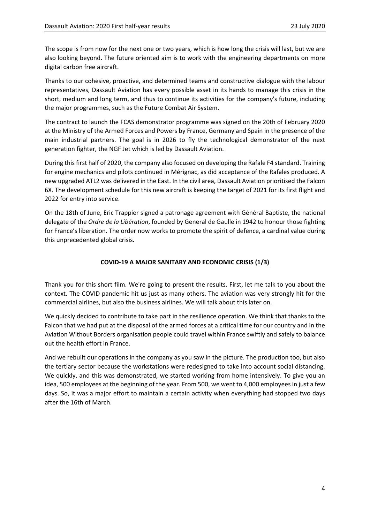The scope is from now for the next one or two years, which is how long the crisis will last, but we are also looking beyond. The future oriented aim is to work with the engineering departments on more digital carbon free aircraft.

Thanks to our cohesive, proactive, and determined teams and constructive dialogue with the labour representatives, Dassault Aviation has every possible asset in its hands to manage this crisis in the short, medium and long term, and thus to continue its activities for the company's future, including the major programmes, such as the Future Combat Air System.

The contract to launch the FCAS demonstrator programme was signed on the 20th of February 2020 at the Ministry of the Armed Forces and Powers by France, Germany and Spain in the presence of the main industrial partners. The goal is in 2026 to fly the technological demonstrator of the next generation fighter, the NGF Jet which is led by Dassault Aviation.

During this first half of 2020, the company also focused on developing the Rafale F4 standard. Training for engine mechanics and pilots continued in Mérignac, as did acceptance of the Rafales produced. A new upgraded ATL2 was delivered in the East. In the civil area, Dassault Aviation prioritised the Falcon 6X. The development schedule for this new aircraft is keeping the target of 2021 for its first flight and 2022 for entry into service.

On the 18th of June, Eric Trappier signed a patronage agreement with Général Baptiste, the national delegate of the *Ordre de la Libération*, founded by General de Gaulle in 1942 to honour those fighting for France's liberation. The order now works to promote the spirit of defence, a cardinal value during this unprecedented global crisis.

# **COVID‐19 A MAJOR SANITARY AND ECONOMIC CRISIS (1/3)**

Thank you for this short film. We're going to present the results. First, let me talk to you about the context. The COVID pandemic hit us just as many others. The aviation was very strongly hit for the commercial airlines, but also the business airlines. We will talk about this later on.

We quickly decided to contribute to take part in the resilience operation. We think that thanks to the Falcon that we had put at the disposal of the armed forces at a critical time for our country and in the Aviation Without Borders organisation people could travel within France swiftly and safely to balance out the health effort in France.

And we rebuilt our operations in the company as you saw in the picture. The production too, but also the tertiary sector because the workstations were redesigned to take into account social distancing. We quickly, and this was demonstrated, we started working from home intensively. To give you an idea, 500 employees at the beginning of the year. From 500, we went to 4,000 employees in just a few days. So, it was a major effort to maintain a certain activity when everything had stopped two days after the 16th of March.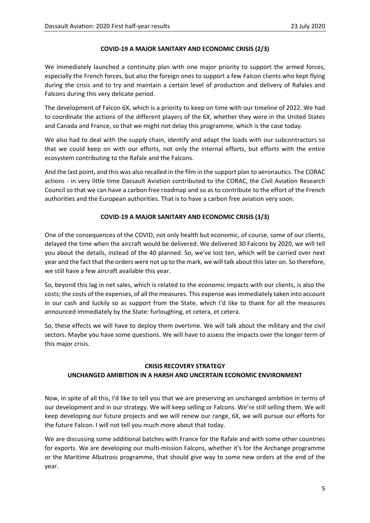### **COVID‐19 A MAJOR SANITARY AND ECONOMIC CRISIS (2/3)**

We immediately launched a continuity plan with one major priority to support the armed forces, especially the French forces, but also the foreign ones to support a few Falcon clients who kept flying during the crisis and to try and maintain a certain level of production and delivery of Rafales and Falcons during this very delicate period.

The development of Falcon 6X, which is a priority to keep on time with our timeline of 2022. We had to coordinate the actions of the different players of the 6X, whether they were in the United States and Canada and France, so that we might not delay this programme, which is the case today.

We also had to deal with the supply chain, identify and adapt the loads with our subcontractors so that we could keep on with our efforts, not only the internal efforts, but efforts with the entire ecosystem contributing to the Rafale and the Falcons.

And the last point, and this was also recalled in the film in the support plan to aeronautics. The CORAC actions - in very little time Dassault Aviation contributed to the CORAC, the Civil Aviation Research Council so that we can have a carbon free roadmap and so as to contribute to the effort of the French authorities and the European authorities. That is to have a carbon free aviation very soon.

### **COVID‐19 A MAJOR SANITARY AND ECONOMIC CRISIS (3/3)**

One of the consequences of the COVID, not only health but economic, of course, some of our clients, delayed the time when the aircraft would be delivered. We delivered 30 Falcons by 2020, we will tell you about the details, instead of the 40 planned. So, we've lost ten, which will be carried over next year and the fact that the orders were not up to the mark, we will talk about this later on. So therefore, we still have a few aircraft available this year.

So, beyond this lag in net sales, which is related to the economic impacts with our clients, is also the costs; the costs of the expenses, of all the measures. This expense was immediately taken into account in our cash and luckily so as support from the State, which I'd like to thank for all the measures announced immediately by the State: furloughing, et cetera, et cetera.

So, these effects we will have to deploy them overtime. We will talk about the military and the civil sectors. Maybe you have some questions. We will have to assess the impacts over the longer term of this major crisis.

# **CRISIS RECOVERY STRATEGY**

# **UNCHANGED AMIBITION IN A HARSH AND UNCERTAIN ECONOMIC ENVIRONMENT**

Now, in spite of all this, I'd like to tell you that we are preserving an unchanged ambition in terms of our development and in our strategy. We will keep selling or Falcons. We're still selling them. We will keep developing our future projects and we will renew our range, 6X, we will pursue our efforts for the future Falcon. I will not tell you much more about that today.

We are discussing some additional batches with France for the Rafale and with some other countries for exports. We are developing our multi-mission Falcons, whether it's for the Archange programme or the Maritime Albatross programme, that should give way to some new orders at the end of the year.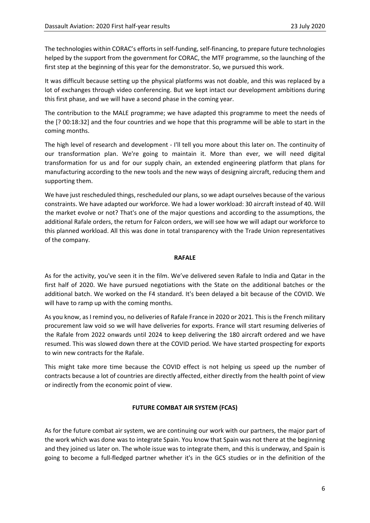The technologies within CORAC's efforts in self-funding, self-financing, to prepare future technologies helped by the support from the government for CORAC, the MTF programme, so the launching of the first step at the beginning of this year for the demonstrator. So, we pursued this work.

It was difficult because setting up the physical platforms was not doable, and this was replaced by a lot of exchanges through video conferencing. But we kept intact our development ambitions during this first phase, and we will have a second phase in the coming year.

The contribution to the MALE programme; we have adapted this programme to meet the needs of the [? 00:18:32] and the four countries and we hope that this programme will be able to start in the coming months.

The high level of research and development ‐ I'll tell you more about this later on. The continuity of our transformation plan. We're going to maintain it. More than ever, we will need digital transformation for us and for our supply chain, an extended engineering platform that plans for manufacturing according to the new tools and the new ways of designing aircraft, reducing them and supporting them.

We have just rescheduled things, rescheduled our plans, so we adapt ourselves because of the various constraints. We have adapted our workforce. We had a lower workload: 30 aircraft instead of 40. Will the market evolve or not? That's one of the major questions and according to the assumptions, the additional Rafale orders, the return for Falcon orders, we will see how we will adapt our workforce to this planned workload. All this was done in total transparency with the Trade Union representatives of the company.

### **RAFALE**

As for the activity, you've seen it in the film. We've delivered seven Rafale to India and Qatar in the first half of 2020. We have pursued negotiations with the State on the additional batches or the additional batch. We worked on the F4 standard. It's been delayed a bit because of the COVID. We will have to ramp up with the coming months.

As you know, as I remind you, no deliveries of Rafale France in 2020 or 2021. This is the French military procurement law void so we will have deliveries for exports. France will start resuming deliveries of the Rafale from 2022 onwards until 2024 to keep delivering the 180 aircraft ordered and we have resumed. This was slowed down there at the COVID period. We have started prospecting for exports to win new contracts for the Rafale.

This might take more time because the COVID effect is not helping us speed up the number of contracts because a lot of countries are directly affected, either directly from the health point of view or indirectly from the economic point of view.

### **FUTURE COMBAT AIR SYSTEM (FCAS)**

As for the future combat air system, we are continuing our work with our partners, the major part of the work which was done was to integrate Spain. You know that Spain was not there at the beginning and they joined us later on. The whole issue was to integrate them, and this is underway, and Spain is going to become a full-fledged partner whether it's in the GCS studies or in the definition of the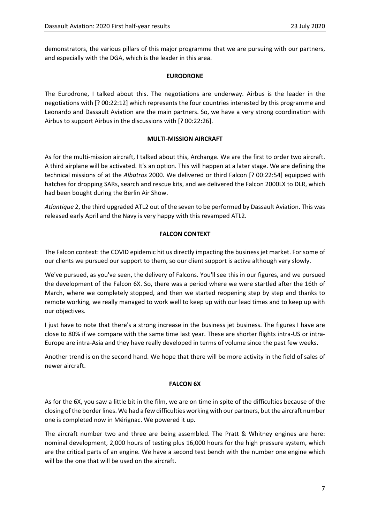demonstrators, the various pillars of this major programme that we are pursuing with our partners, and especially with the DGA, which is the leader in this area.

### **EURODRONE**

The Eurodrone, I talked about this. The negotiations are underway. Airbus is the leader in the negotiations with [? 00:22:12] which represents the four countries interested by this programme and Leonardo and Dassault Aviation are the main partners. So, we have a very strong coordination with Airbus to support Airbus in the discussions with [? 00:22:26].

### **MULTI‐MISSION AIRCRAFT**

As for the multi-mission aircraft, I talked about this, Archange. We are the first to order two aircraft. A third airplane will be activated. It's an option. This will happen at a later stage. We are defining the technical missions of at the *Albatros* 2000. We delivered or third Falcon [? 00:22:54] equipped with hatches for dropping SARs, search and rescue kits, and we delivered the Falcon 2000LX to DLR, which had been bought during the Berlin Air Show.

*Atlantique* 2, the third upgraded ATL2 out of the seven to be performed by Dassault Aviation. This was released early April and the Navy is very happy with this revamped ATL2.

# **FALCON CONTEXT**

The Falcon context: the COVID epidemic hit us directly impacting the business jet market. For some of our clients we pursued our support to them, so our client support is active although very slowly.

We've pursued, as you've seen, the delivery of Falcons. You'll see this in our figures, and we pursued the development of the Falcon 6X. So, there was a period where we were startled after the 16th of March, where we completely stopped, and then we started reopening step by step and thanks to remote working, we really managed to work well to keep up with our lead times and to keep up with our objectives.

I just have to note that there's a strong increase in the business jet business. The figures I have are close to 80% if we compare with the same time last year. These are shorter flights intra‐US or intra‐ Europe are intra‐Asia and they have really developed in terms of volume since the past few weeks.

Another trend is on the second hand. We hope that there will be more activity in the field of sales of newer aircraft.

### **FALCON 6X**

As for the 6X, you saw a little bit in the film, we are on time in spite of the difficulties because of the closing of the border lines. We had a few difficulties working with our partners, but the aircraft number one is completed now in Mérignac. We powered it up.

The aircraft number two and three are being assembled. The Pratt & Whitney engines are here: nominal development, 2,000 hours of testing plus 16,000 hours for the high pressure system, which are the critical parts of an engine. We have a second test bench with the number one engine which will be the one that will be used on the aircraft.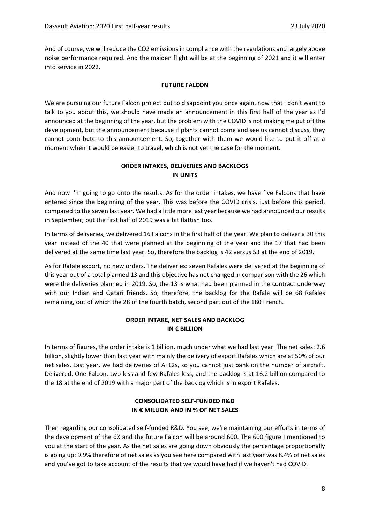And of course, we will reduce the CO2 emissions in compliance with the regulations and largely above noise performance required. And the maiden flight will be at the beginning of 2021 and it will enter into service in 2022.

### **FUTURE FALCON**

We are pursuing our future Falcon project but to disappoint you once again, now that I don't want to talk to you about this, we should have made an announcement in this first half of the year as I'd announced at the beginning of the year, but the problem with the COVID is not making me put off the development, but the announcement because if plants cannot come and see us cannot discuss, they cannot contribute to this announcement. So, together with them we would like to put it off at a moment when it would be easier to travel, which is not yet the case for the moment.

# **ORDER INTAKES, DELIVERIES AND BACKLOGS IN UNITS**

And now I'm going to go onto the results. As for the order intakes, we have five Falcons that have entered since the beginning of the year. This was before the COVID crisis, just before this period, compared to the seven last year. We had a little more last year because we had announced our results in September, but the first half of 2019 was a bit flattish too.

In terms of deliveries, we delivered 16 Falcons in the first half of the year. We plan to deliver a 30 this year instead of the 40 that were planned at the beginning of the year and the 17 that had been delivered at the same time last year. So, therefore the backlog is 42 versus 53 at the end of 2019.

As for Rafale export, no new orders. The deliveries: seven Rafales were delivered at the beginning of this year out of a total planned 13 and this objective has not changed in comparison with the 26 which were the deliveries planned in 2019. So, the 13 is what had been planned in the contract underway with our Indian and Qatari friends. So, therefore, the backlog for the Rafale will be 68 Rafales remaining, out of which the 28 of the fourth batch, second part out of the 180 French.

# **ORDER INTAKE, NET SALES AND BACKLOG IN € BILLION**

In terms of figures, the order intake is 1 billion, much under what we had last year. The net sales: 2.6 billion, slightly lower than last year with mainly the delivery of export Rafales which are at 50% of our net sales. Last year, we had deliveries of ATL2s, so you cannot just bank on the number of aircraft. Delivered. One Falcon, two less and few Rafales less, and the backlog is at 16.2 billion compared to the 18 at the end of 2019 with a major part of the backlog which is in export Rafales.

# **CONSOLIDATED SELF‐FUNDED R&D IN € MILLION AND IN % OF NET SALES**

Then regarding our consolidated self-funded R&D. You see, we're maintaining our efforts in terms of the development of the 6X and the future Falcon will be around 600. The 600 figure I mentioned to you at the start of the year. As the net sales are going down obviously the percentage proportionally is going up: 9.9% therefore of net sales as you see here compared with last year was 8.4% of net sales and you've got to take account of the results that we would have had if we haven't had COVID.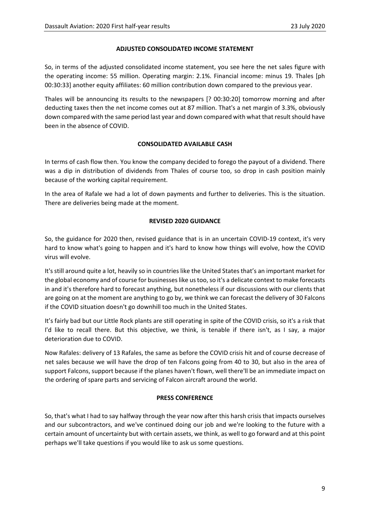### **ADJUSTED CONSOLIDATED INCOME STATEMENT**

So, in terms of the adjusted consolidated income statement, you see here the net sales figure with the operating income: 55 million. Operating margin: 2.1%. Financial income: minus 19. Thales [ph 00:30:33] another equity affiliates: 60 million contribution down compared to the previous year.

Thales will be announcing its results to the newspapers [? 00:30:20] tomorrow morning and after deducting taxes then the net income comes out at 87 million. That's a net margin of 3.3%, obviously down compared with the same period last year and down compared with what that result should have been in the absence of COVID.

### **CONSOLIDATED AVAILABLE CASH**

In terms of cash flow then. You know the company decided to forego the payout of a dividend. There was a dip in distribution of dividends from Thales of course too, so drop in cash position mainly because of the working capital requirement.

In the area of Rafale we had a lot of down payments and further to deliveries. This is the situation. There are deliveries being made at the moment.

### **REVISED 2020 GUIDANCE**

So, the guidance for 2020 then, revised guidance that is in an uncertain COVID‐19 context, it's very hard to know what's going to happen and it's hard to know how things will evolve, how the COVID virus will evolve.

It's still around quite a lot, heavily so in countries like the United States that's an important market for the global economy and of course for businesses like us too, so it's a delicate context to make forecasts in and it's therefore hard to forecast anything, but nonetheless if our discussions with our clients that are going on at the moment are anything to go by, we think we can forecast the delivery of 30 Falcons if the COVID situation doesn't go downhill too much in the United States.

It's fairly bad but our Little Rock plants are still operating in spite of the COVID crisis, so it's a risk that I'd like to recall there. But this objective, we think, is tenable if there isn't, as I say, a major deterioration due to COVID.

Now Rafales: delivery of 13 Rafales, the same as before the COVID crisis hit and of course decrease of net sales because we will have the drop of ten Falcons going from 40 to 30, but also in the area of support Falcons, support because if the planes haven't flown, well there'll be an immediate impact on the ordering of spare parts and servicing of Falcon aircraft around the world.

### **PRESS CONFERENCE**

So, that's what I had to say halfway through the year now after this harsh crisis that impacts ourselves and our subcontractors, and we've continued doing our job and we're looking to the future with a certain amount of uncertainty but with certain assets, we think, as well to go forward and at this point perhaps we'll take questions if you would like to ask us some questions.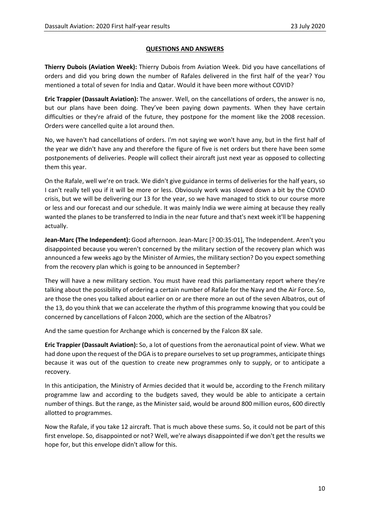### **QUESTIONS AND ANSWERS**

**Thierry Dubois (Aviation Week):** Thierry Dubois from Aviation Week. Did you have cancellations of orders and did you bring down the number of Rafales delivered in the first half of the year? You mentioned a total of seven for India and Qatar. Would it have been more without COVID?

**Eric Trappier (Dassault Aviation):** The answer. Well, on the cancellations of orders, the answer is no, but our plans have been doing. They've been paying down payments. When they have certain difficulties or they're afraid of the future, they postpone for the moment like the 2008 recession. Orders were cancelled quite a lot around then.

No, we haven't had cancellations of orders. I'm not saying we won't have any, but in the first half of the year we didn't have any and therefore the figure of five is net orders but there have been some postponements of deliveries. People will collect their aircraft just next year as opposed to collecting them this year.

On the Rafale, well we're on track. We didn't give guidance in terms of deliveries for the half years, so I can't really tell you if it will be more or less. Obviously work was slowed down a bit by the COVID crisis, but we will be delivering our 13 for the year, so we have managed to stick to our course more or less and our forecast and our schedule. It was mainly India we were aiming at because they really wanted the planes to be transferred to India in the near future and that's next week it'll be happening actually.

**Jean‐Marc (The Independent):** Good afternoon. Jean‐Marc [? 00:35:01], The Independent. Aren't you disappointed because you weren't concerned by the military section of the recovery plan which was announced a few weeks ago by the Minister of Armies, the military section? Do you expect something from the recovery plan which is going to be announced in September?

They will have a new military section. You must have read this parliamentary report where they're talking about the possibility of ordering a certain number of Rafale for the Navy and the Air Force. So, are those the ones you talked about earlier on or are there more an out of the seven Albatros, out of the 13, do you think that we can accelerate the rhythm of this programme knowing that you could be concerned by cancellations of Falcon 2000, which are the section of the Albatros?

And the same question for Archange which is concerned by the Falcon 8X sale.

**Eric Trappier (Dassault Aviation):** So, a lot of questions from the aeronautical point of view. What we had done upon the request of the DGA is to prepare ourselves to set up programmes, anticipate things because it was out of the question to create new programmes only to supply, or to anticipate a recovery.

In this anticipation, the Ministry of Armies decided that it would be, according to the French military programme law and according to the budgets saved, they would be able to anticipate a certain number of things. But the range, as the Minister said, would be around 800 million euros, 600 directly allotted to programmes.

Now the Rafale, if you take 12 aircraft. That is much above these sums. So, it could not be part of this first envelope. So, disappointed or not? Well, we're always disappointed if we don't get the results we hope for, but this envelope didn't allow for this.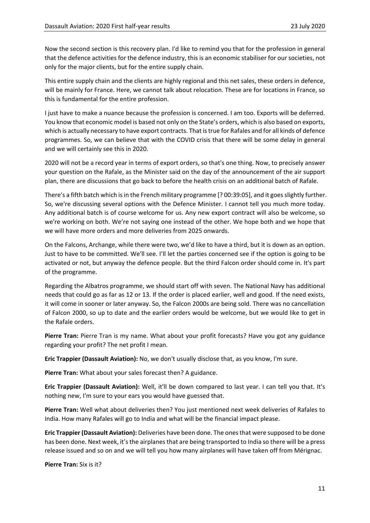Now the second section is this recovery plan. I'd like to remind you that for the profession in general that the defence activities for the defence industry, this is an economic stabiliser for our societies, not only for the major clients, but for the entire supply chain.

This entire supply chain and the clients are highly regional and this net sales, these orders in defence, will be mainly for France. Here, we cannot talk about relocation. These are for locations in France, so this is fundamental for the entire profession.

I just have to make a nuance because the profession is concerned. I am too. Exports will be deferred. You know that economic model is based not only on the State's orders, which is also based on exports, which is actually necessary to have export contracts. That is true for Rafales and for all kinds of defence programmes. So, we can believe that with the COVID crisis that there will be some delay in general and we will certainly see this in 2020.

2020 will not be a record year in terms of export orders, so that's one thing. Now, to precisely answer your question on the Rafale, as the Minister said on the day of the announcement of the air support plan, there are discussions that go back to before the health crisis on an additional batch of Rafale.

There's a fifth batch which is in the French military programme [? 00:39:05], and it goes slightly further. So, we're discussing several options with the Defence Minister. I cannot tell you much more today. Any additional batch is of course welcome for us. Any new export contract will also be welcome, so we're working on both. We're not saying one instead of the other. We hope both and we hope that we will have more orders and more deliveries from 2025 onwards.

On the Falcons, Archange, while there were two, we'd like to have a third, but it is down as an option. Just to have to be committed. We'll see. I'll let the parties concerned see if the option is going to be activated or not, but anyway the defence people. But the third Falcon order should come in. It's part of the programme.

Regarding the Albatros programme, we should start off with seven. The National Navy has additional needs that could go as far as 12 or 13. If the order is placed earlier, well and good. If the need exists, it will come in sooner or later anyway. So, the Falcon 2000s are being sold. There was no cancellation of Falcon 2000, so up to date and the earlier orders would be welcome, but we would like to get in the Rafale orders.

**Pierre Tran:** Pierre Tran is my name. What about your profit forecasts? Have you got any guidance regarding your profit? The net profit I mean.

**Eric Trappier (Dassault Aviation):** No, we don't usually disclose that, as you know, I'm sure.

**Pierre Tran:** What about your sales forecast then? A guidance.

**Eric Trappier (Dassault Aviation):** Well, it'll be down compared to last year. I can tell you that. It's nothing new, I'm sure to your ears you would have guessed that.

**Pierre Tran:** Well what about deliveries then? You just mentioned next week deliveries of Rafales to India. How many Rafales will go to India and what will be the financial impact please.

**Eric Trappier (Dassault Aviation):** Deliveries have been done. The ones that were supposed to be done has been done. Next week, it's the airplanes that are being transported to India so there will be a press release issued and so on and we will tell you how many airplanes will have taken off from Mérignac.

**Pierre Tran:** Six is it?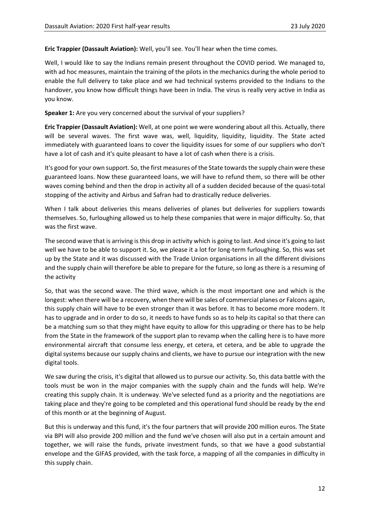**Eric Trappier (Dassault Aviation):** Well, you'll see. You'll hear when the time comes.

Well, I would like to say the Indians remain present throughout the COVID period. We managed to, with ad hoc measures, maintain the training of the pilots in the mechanics during the whole period to enable the full delivery to take place and we had technical systems provided to the Indians to the handover, you know how difficult things have been in India. The virus is really very active in India as you know.

**Speaker 1:** Are you very concerned about the survival of your suppliers?

**Eric Trappier (Dassault Aviation):** Well, at one point we were wondering about all this. Actually, there will be several waves. The first wave was, well, liquidity, liquidity, liquidity. The State acted immediately with guaranteed loans to cover the liquidity issues for some of our suppliers who don't have a lot of cash and it's quite pleasant to have a lot of cash when there is a crisis.

It's good for your own support. So, the first measures of the State towards the supply chain were these guaranteed loans. Now these guaranteed loans, we will have to refund them, so there will be other waves coming behind and then the drop in activity all of a sudden decided because of the quasi‐total stopping of the activity and Airbus and Safran had to drastically reduce deliveries.

When I talk about deliveries this means deliveries of planes but deliveries for suppliers towards themselves. So, furloughing allowed us to help these companies that were in major difficulty. So, that was the first wave.

The second wave that is arriving is this drop in activity which is going to last. And since it's going to last well we have to be able to support it. So, we please it a lot for long-term furloughing. So, this was set up by the State and it was discussed with the Trade Union organisations in all the different divisions and the supply chain will therefore be able to prepare for the future, so long as there is a resuming of the activity

So, that was the second wave. The third wave, which is the most important one and which is the longest: when there will be a recovery, when there will be sales of commercial planes or Falcons again, this supply chain will have to be even stronger than it was before. It has to become more modern. It has to upgrade and in order to do so, it needs to have funds so as to help its capital so that there can be a matching sum so that they might have equity to allow for this upgrading or there has to be help from the State in the framework of the support plan to revamp when the calling here is to have more environmental aircraft that consume less energy, et cetera, et cetera, and be able to upgrade the digital systems because our supply chains and clients, we have to pursue our integration with the new digital tools.

We saw during the crisis, it's digital that allowed us to pursue our activity. So, this data battle with the tools must be won in the major companies with the supply chain and the funds will help. We're creating this supply chain. It is underway. We've selected fund as a priority and the negotiations are taking place and they're going to be completed and this operational fund should be ready by the end of this month or at the beginning of August.

But this is underway and this fund, it's the four partners that will provide 200 million euros. The State via BPI will also provide 200 million and the fund we've chosen will also put in a certain amount and together, we will raise the funds, private investment funds, so that we have a good substantial envelope and the GIFAS provided, with the task force, a mapping of all the companies in difficulty in this supply chain.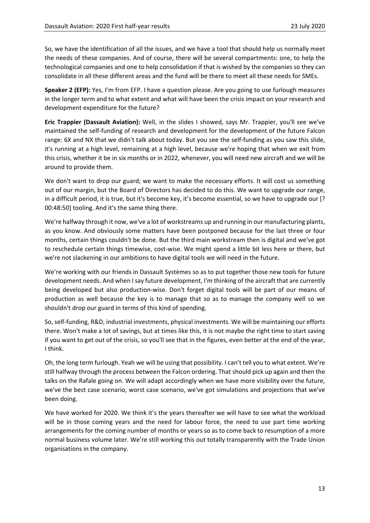So, we have the identification of all the issues, and we have a tool that should help us normally meet the needs of these companies. And of course, there will be several compartments: one, to help the technological companies and one to help consolidation if that is wished by the companies so they can consolidate in all these different areas and the fund will be there to meet all these needs for SMEs.

**Speaker 2 (EFP):** Yes, I'm from EFP. I have a question please. Are you going to use furlough measures in the longer term and to what extent and what will have been the crisis impact on your research and development expenditure for the future?

**Eric Trappier (Dassault Aviation):** Well, in the slides I showed, says Mr. Trappier, you'll see we've maintained the self‐funding of research and development for the development of the future Falcon range: 6X and NX that we didn't talk about today. But you see the self-funding as you saw this slide, it's running at a high level, remaining at a high level, because we're hoping that when we exit from this crisis, whether it be in six months or in 2022, whenever, you will need new aircraft and we will be around to provide them.

We don't want to drop our guard; we want to make the necessary efforts. It will cost us something out of our margin, but the Board of Directors has decided to do this. We want to upgrade our range, in a difficult period, it is true, but it's become key, it's become essential, so we have to upgrade our [? 00:48:50] tooling. And it's the same thing there.

We're halfway through it now, we've a lot of workstreams up and running in our manufacturing plants, as you know. And obviously some matters have been postponed because for the last three or four months, certain things couldn't be done. But the third main workstream then is digital and we've got to reschedule certain things timewise, cost-wise. We might spend a little bit less here or there, but we're not slackening in our ambitions to have digital tools we will need in the future.

We're working with our friends in Dassault Systèmes so as to put together those new tools for future development needs. And when I say future development, I'm thinking of the aircraft that are currently being developed but also production-wise. Don't forget digital tools will be part of our means of production as well because the key is to manage that so as to manage the company well so we shouldn't drop our guard in terms of this kind of spending.

So, self-funding, R&D, industrial investments, physical investments. We will be maintaining our efforts there. Won't make a lot of savings, but at times like this, it is not maybe the right time to start saving if you want to get out of the crisis, so you'll see that in the figures, even better at the end of the year, I think.

Oh, the long term furlough. Yeah we will be using that possibility. I can't tell you to what extent. We're still halfway through the process between the Falcon ordering. That should pick up again and then the talks on the Rafale going on. We will adapt accordingly when we have more visibility over the future, we've the best case scenario, worst case scenario, we've got simulations and projections that we've been doing.

We have worked for 2020. We think it's the years thereafter we will have to see what the workload will be in those coming years and the need for labour force, the need to use part time working arrangements for the coming number of months or years so as to come back to resumption of a more normal business volume later. We're still working this out totally transparently with the Trade Union organisations in the company.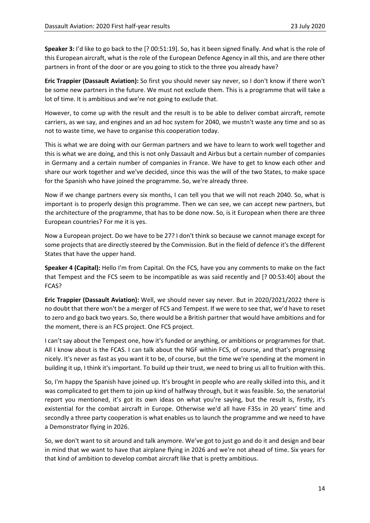**Speaker 3:** I'd like to go back to the [? 00:51:19]. So, has it been signed finally. And what is the role of this European aircraft, what is the role of the European Defence Agency in all this, and are there other partners in front of the door or are you going to stick to the three you already have?

**Eric Trappier (Dassault Aviation):** So first you should never say never, so I don't know if there won't be some new partners in the future. We must not exclude them. This is a programme that will take a lot of time. It is ambitious and we're not going to exclude that.

However, to come up with the result and the result is to be able to deliver combat aircraft, remote carriers, as we say, and engines and an ad hoc system for 2040, we mustn't waste any time and so as not to waste time, we have to organise this cooperation today.

This is what we are doing with our German partners and we have to learn to work well together and this is what we are doing, and this is not only Dassault and Airbus but a certain number of companies in Germany and a certain number of companies in France. We have to get to know each other and share our work together and we've decided, since this was the will of the two States, to make space for the Spanish who have joined the programme. So, we're already three.

Now if we change partners every six months, I can tell you that we will not reach 2040. So, what is important is to properly design this programme. Then we can see, we can accept new partners, but the architecture of the programme, that has to be done now. So, is it European when there are three European countries? For me it is yes.

Now a European project. Do we have to be 27? I don't think so because we cannot manage except for some projects that are directly steered by the Commission. But in the field of defence it's the different States that have the upper hand.

**Speaker 4 (Capital):** Hello I'm from Capital. On the FCS, have you any comments to make on the fact that Tempest and the FCS seem to be incompatible as was said recently and [? 00:53:40] about the FCAS?

**Eric Trappier (Dassault Aviation):** Well, we should never say never. But in 2020/2021/2022 there is no doubt that there won't be a merger of FCS and Tempest. If we were to see that, we'd have to reset to zero and go back two years. So, there would be a British partner that would have ambitions and for the moment, there is an FCS project. One FCS project.

I can't say about the Tempest one, how it's funded or anything, or ambitions or programmes for that. All I know about is the FCAS. I can talk about the NGF within FCS, of course, and that's progressing nicely. It's never as fast as you want it to be, of course, but the time we're spending at the moment in building it up, I think it's important. To build up their trust, we need to bring us all to fruition with this.

So, I'm happy the Spanish have joined up. It's brought in people who are really skilled into this, and it was complicated to get them to join up kind of halfway through, but it was feasible. So, the senatorial report you mentioned, it's got its own ideas on what you're saying, but the result is, firstly, it's existential for the combat aircraft in Europe. Otherwise we'd all have F35s in 20 years' time and secondly a three party cooperation is what enables us to launch the programme and we need to have a Demonstrator flying in 2026.

So, we don't want to sit around and talk anymore. We've got to just go and do it and design and bear in mind that we want to have that airplane flying in 2026 and we're not ahead of time. Six years for that kind of ambition to develop combat aircraft like that is pretty ambitious.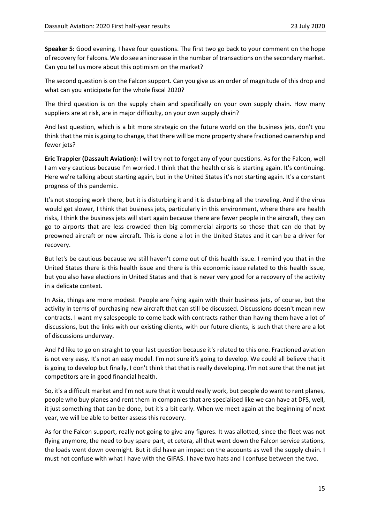**Speaker 5:** Good evening. I have four questions. The first two go back to your comment on the hope of recovery for Falcons. We do see an increase in the number of transactions on the secondary market. Can you tell us more about this optimism on the market?

The second question is on the Falcon support. Can you give us an order of magnitude of this drop and what can you anticipate for the whole fiscal 2020?

The third question is on the supply chain and specifically on your own supply chain. How many suppliers are at risk, are in major difficulty, on your own supply chain?

And last question, which is a bit more strategic on the future world on the business jets, don't you think that the mix is going to change, that there will be more property share fractioned ownership and fewer jets?

**Eric Trappier (Dassault Aviation):** I will try not to forget any of your questions. As for the Falcon, well I am very cautious because I'm worried. I think that the health crisis is starting again. It's continuing. Here we're talking about starting again, but in the United States it's not starting again. It's a constant progress of this pandemic.

It's not stopping work there, but it is disturbing it and it is disturbing all the traveling. And if the virus would get slower, I think that business jets, particularly in this environment, where there are health risks, I think the business jets will start again because there are fewer people in the aircraft, they can go to airports that are less crowded then big commercial airports so those that can do that by preowned aircraft or new aircraft. This is done a lot in the United States and it can be a driver for recovery.

But let's be cautious because we still haven't come out of this health issue. I remind you that in the United States there is this health issue and there is this economic issue related to this health issue, but you also have elections in United States and that is never very good for a recovery of the activity in a delicate context.

In Asia, things are more modest. People are flying again with their business jets, of course, but the activity in terms of purchasing new aircraft that can still be discussed. Discussions doesn't mean new contracts. I want my salespeople to come back with contracts rather than having them have a lot of discussions, but the links with our existing clients, with our future clients, is such that there are a lot of discussions underway.

And I'd like to go on straight to your last question because it's related to this one. Fractioned aviation is not very easy. It's not an easy model. I'm not sure it's going to develop. We could all believe that it is going to develop but finally, I don't think that that is really developing. I'm not sure that the net jet competitors are in good financial health.

So, it's a difficult market and I'm not sure that it would really work, but people do want to rent planes, people who buy planes and rent them in companies that are specialised like we can have at DFS, well, it just something that can be done, but it's a bit early. When we meet again at the beginning of next year, we will be able to better assess this recovery.

As for the Falcon support, really not going to give any figures. It was allotted, since the fleet was not flying anymore, the need to buy spare part, et cetera, all that went down the Falcon service stations, the loads went down overnight. But it did have an impact on the accounts as well the supply chain. I must not confuse with what I have with the GIFAS. I have two hats and I confuse between the two.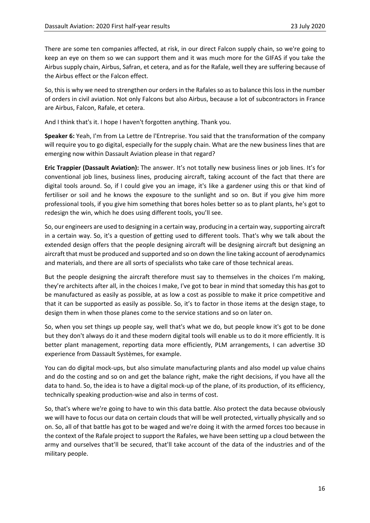There are some ten companies affected, at risk, in our direct Falcon supply chain, so we're going to keep an eye on them so we can support them and it was much more for the GIFAS if you take the Airbus supply chain, Airbus, Safran, et cetera, and as for the Rafale, well they are suffering because of the Airbus effect or the Falcon effect.

So, this is why we need to strengthen our orders in the Rafales so as to balance this loss in the number of orders in civil aviation. Not only Falcons but also Airbus, because a lot of subcontractors in France are Airbus, Falcon, Rafale, et cetera.

And I think that's it. I hope I haven't forgotten anything. Thank you.

**Speaker 6:** Yeah, I'm from La Lettre de l'Entreprise. You said that the transformation of the company will require you to go digital, especially for the supply chain. What are the new business lines that are emerging now within Dassault Aviation please in that regard?

**Eric Trappier (Dassault Aviation):** The answer. It's not totally new business lines or job lines. It's for conventional job lines, business lines, producing aircraft, taking account of the fact that there are digital tools around. So, if I could give you an image, it's like a gardener using this or that kind of fertiliser or soil and he knows the exposure to the sunlight and so on. But if you give him more professional tools, if you give him something that bores holes better so as to plant plants, he's got to redesign the win, which he does using different tools, you'll see.

So, our engineers are used to designing in a certain way, producing in a certain way, supporting aircraft in a certain way. So, it's a question of getting used to different tools. That's why we talk about the extended design offers that the people designing aircraft will be designing aircraft but designing an aircraft that must be produced and supported and so on down the line taking account of aerodynamics and materials, and there are all sorts of specialists who take care of those technical areas.

But the people designing the aircraft therefore must say to themselves in the choices I'm making, they're architects after all, in the choices I make, I've got to bear in mind that someday this has got to be manufactured as easily as possible, at as low a cost as possible to make it price competitive and that it can be supported as easily as possible. So, it's to factor in those items at the design stage, to design them in when those planes come to the service stations and so on later on.

So, when you set things up people say, well that's what we do, but people know it's got to be done but they don't always do it and these modern digital tools will enable us to do it more efficiently. It is better plant management, reporting data more efficiently, PLM arrangements, I can advertise 3D experience from Dassault Systèmes, for example.

You can do digital mock‐ups, but also simulate manufacturing plants and also model up value chains and do the costing and so on and get the balance right, make the right decisions, if you have all the data to hand. So, the idea is to have a digital mock-up of the plane, of its production, of its efficiency, technically speaking production‐wise and also in terms of cost.

So, that's where we're going to have to win this data battle. Also protect the data because obviously we will have to focus our data on certain clouds that will be well protected, virtually physically and so on. So, all of that battle has got to be waged and we're doing it with the armed forces too because in the context of the Rafale project to support the Rafales, we have been setting up a cloud between the army and ourselves that'll be secured, that'll take account of the data of the industries and of the military people.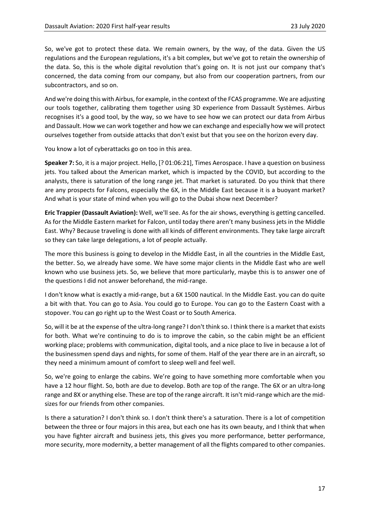So, we've got to protect these data. We remain owners, by the way, of the data. Given the US regulations and the European regulations, it's a bit complex, but we've got to retain the ownership of the data. So, this is the whole digital revolution that's going on. It is not just our company that's concerned, the data coming from our company, but also from our cooperation partners, from our subcontractors, and so on.

And we're doing this with Airbus, for example, in the context of the FCAS programme. We are adjusting our tools together, calibrating them together using 3D experience from Dassault Systèmes. Airbus recognises it's a good tool, by the way, so we have to see how we can protect our data from Airbus and Dassault. How we can work together and how we can exchange and especially how we will protect ourselves together from outside attacks that don't exist but that you see on the horizon every day.

You know a lot of cyberattacks go on too in this area.

**Speaker 7:** So, it is a major project. Hello, [? 01:06:21], Times Aerospace. I have a question on business jets. You talked about the American market, which is impacted by the COVID, but according to the analysts, there is saturation of the long range jet. That market is saturated. Do you think that there are any prospects for Falcons, especially the 6X, in the Middle East because it is a buoyant market? And what is your state of mind when you will go to the Dubai show next December?

**Eric Trappier (Dassault Aviation):** Well, we'll see. As for the air shows, everything is getting cancelled. As for the Middle Eastern market for Falcon, until today there aren't many business jets in the Middle East. Why? Because traveling is done with all kinds of different environments. They take large aircraft so they can take large delegations, a lot of people actually.

The more this business is going to develop in the Middle East, in all the countries in the Middle East, the better. So, we already have some. We have some major clients in the Middle East who are well known who use business jets. So, we believe that more particularly, maybe this is to answer one of the questions I did not answer beforehand, the mid-range.

I don't know what is exactly a mid‐range, but a 6X 1500 nautical. In the Middle East. you can do quite a bit with that. You can go to Asia. You could go to Europe. You can go to the Eastern Coast with a stopover. You can go right up to the West Coast or to South America.

So, will it be at the expense of the ultra‐long range? I don't think so. I think there is a market that exists for both. What we're continuing to do is to improve the cabin, so the cabin might be an efficient working place; problems with communication, digital tools, and a nice place to live in because a lot of the businessmen spend days and nights, for some of them. Half of the year there are in an aircraft, so they need a minimum amount of comfort to sleep well and feel well.

So, we're going to enlarge the cabins. We're going to have something more comfortable when you have a 12 hour flight. So, both are due to develop. Both are top of the range. The 6X or an ultra-long range and 8X or anything else. These are top of the range aircraft. It isn't mid-range which are the midsizes for our friends from other companies.

Is there a saturation? I don't think so. I don't think there's a saturation. There is a lot of competition between the three or four majors in this area, but each one has its own beauty, and I think that when you have fighter aircraft and business jets, this gives you more performance, better performance, more security, more modernity, a better management of all the flights compared to other companies.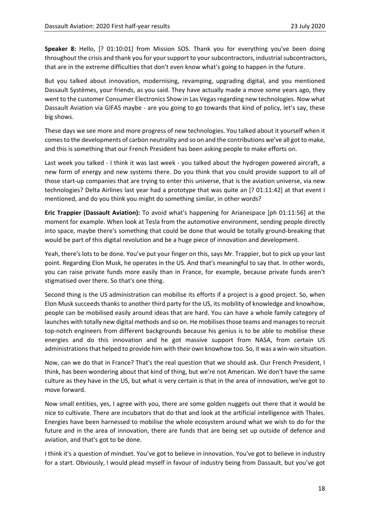**Speaker 8:** Hello,  $[? 01:10:01]$  from Mission SOS. Thank you for everything you've been doing throughout the crisis and thank you for your support to your subcontractors, industrial subcontractors, that are in the extreme difficulties that don't even know what's going to happen in the future.

But you talked about innovation, modernising, revamping, upgrading digital, and you mentioned Dassault Systèmes, your friends, as you said. They have actually made a move some years ago, they went to the customer Consumer Electronics Show in Las Vegas regarding new technologies. Now what Dassault Aviation via GIFAS maybe ‐ are you going to go towards that kind of policy, let's say, these big shows.

These days we see more and more progress of new technologies. You talked about it yourself when it comes to the developments of carbon neutrality and so on and the contributions we've all got to make, and this is something that our French President has been asking people to make efforts on.

Last week you talked - I think it was last week - you talked about the hydrogen powered aircraft, a new form of energy and new systems there. Do you think that you could provide support to all of those start-up companies that are trying to enter this universe, that is the aviation universe, via new technologies? Delta Airlines last year had a prototype that was quite an [? 01:11:42] at that event I mentioned, and do you think you might do something similar, in other words?

**Eric Trappier (Dassault Aviation):** To avoid what's happening for Arianespace [ph 01:11:56] at the moment for example. When look at Tesla from the automotive environment, sending people directly into space, maybe there's something that could be done that would be totally ground‐breaking that would be part of this digital revolution and be a huge piece of innovation and development.

Yeah, there's lots to be done. You've put your finger on this, says Mr. Trappier, but to pick up your last point. Regarding Elon Musk, he operates in the US. And that's meaningful to say that. In other words, you can raise private funds more easily than in France, for example, because private funds aren't stigmatised over there. So that's one thing.

Second thing is the US administration can mobilise its efforts if a project is a good project. So, when Elon Musk succeeds thanks to another third party for the US, its mobility of knowledge and knowhow, people can be mobilised easily around ideas that are hard. You can have a whole family category of launches with totally new digital methods and so on. He mobilises those teams and manages to recruit top-notch engineers from different backgrounds because his genius is to be able to mobilise these energies and do this innovation and he got massive support from NASA, from certain US administrations that helped to provide him with their own knowhow too. So, it was a win‐win situation.

Now, can we do that in France? That's the real question that we should ask. Our French President, I think, has been wondering about that kind of thing, but we're not American. We don't have the same culture as they have in the US, but what is very certain is that in the area of innovation, we've got to move forward.

Now small entities, yes, I agree with you, there are some golden nuggets out there that it would be nice to cultivate. There are incubators that do that and look at the artificial intelligence with Thales. Energies have been harnessed to mobilise the whole ecosystem around what we wish to do for the future and in the area of innovation, there are funds that are being set up outside of defence and aviation, and that's got to be done.

I think it's a question of mindset. You've got to believe in innovation. You've got to believe in industry for a start. Obviously, I would plead myself in favour of industry being from Dassault, but you've got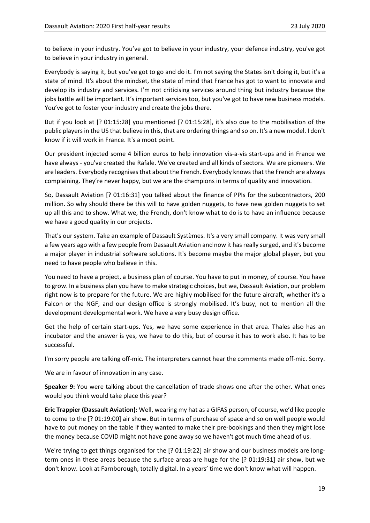to believe in your industry. You've got to believe in your industry, your defence industry, you've got to believe in your industry in general.

Everybody is saying it, but you've got to go and do it. I'm not saying the States isn't doing it, but it's a state of mind. It's about the mindset, the state of mind that France has got to want to innovate and develop its industry and services. I'm not criticising services around thing but industry because the jobs battle will be important. It's important services too, but you've got to have new business models. You've got to foster your industry and create the jobs there.

But if you look at [? 01:15:28] you mentioned [? 01:15:28], it's also due to the mobilisation of the public players in the US that believe in this, that are ordering things and so on. It's a new model. I don't know if it will work in France. It's a moot point.

Our president injected some 4 billion euros to help innovation vis-a-vis start-ups and in France we have always ‐ you've created the Rafale. We've created and all kinds of sectors. We are pioneers. We are leaders. Everybody recognises that about the French. Everybody knows that the French are always complaining. They're never happy, but we are the champions in terms of quality and innovation.

So, Dassault Aviation [? 01:16:31] you talked about the finance of PPIs for the subcontractors, 200 million. So why should there be this will to have golden nuggets, to have new golden nuggets to set up all this and to show. What we, the French, don't know what to do is to have an influence because we have a good quality in our projects.

That's our system. Take an example of Dassault Systèmes. It's a very small company. It was very small a few years ago with a few people from Dassault Aviation and now it has really surged, and it's become a major player in industrial software solutions. It's become maybe the major global player, but you need to have people who believe in this.

You need to have a project, a business plan of course. You have to put in money, of course. You have to grow. In a business plan you have to make strategic choices, but we, Dassault Aviation, our problem right now is to prepare for the future. We are highly mobilised for the future aircraft, whether it's a Falcon or the NGF, and our design office is strongly mobilised. It's busy, not to mention all the development developmental work. We have a very busy design office.

Get the help of certain start-ups. Yes, we have some experience in that area. Thales also has an incubator and the answer is yes, we have to do this, but of course it has to work also. It has to be successful.

I'm sorry people are talking off‐mic. The interpreters cannot hear the comments made off‐mic. Sorry.

We are in favour of innovation in any case.

**Speaker 9:** You were talking about the cancellation of trade shows one after the other. What ones would you think would take place this year?

**Eric Trappier (Dassault Aviation):** Well, wearing my hat as a GIFAS person, of course, we'd like people to come to the [? 01:19:00] air show. But in terms of purchase of space and so on well people would have to put money on the table if they wanted to make their pre-bookings and then they might lose the money because COVID might not have gone away so we haven't got much time ahead of us.

We're trying to get things organised for the [? 01:19:22] air show and our business models are longterm ones in these areas because the surface areas are huge for the [? 01:19:31] air show, but we don't know. Look at Farnborough, totally digital. In a years' time we don't know what will happen.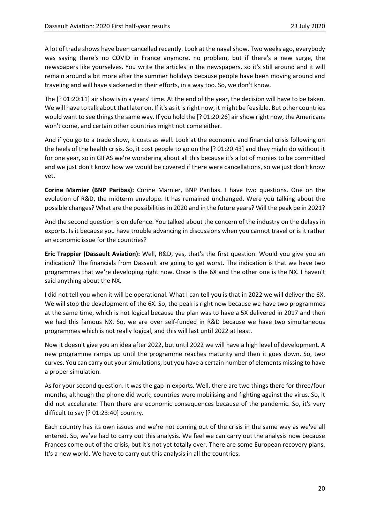A lot of trade shows have been cancelled recently. Look at the naval show. Two weeks ago, everybody was saying there's no COVID in France anymore, no problem, but if there's a new surge, the newspapers like yourselves. You write the articles in the newspapers, so it's still around and it will remain around a bit more after the summer holidays because people have been moving around and traveling and will have slackened in their efforts, in a way too. So, we don't know.

The [? 01:20:11] air show is in a years' time. At the end of the year, the decision will have to be taken. We will have to talk about that later on. If it's as it is right now, it might be feasible. But other countries would want to see things the same way. If you hold the [? 01:20:26] air show right now, the Americans won't come, and certain other countries might not come either.

And if you go to a trade show, it costs as well. Look at the economic and financial crisis following on the heels of the health crisis. So, it cost people to go on the [? 01:20:43] and they might do without it for one year, so in GIFAS we're wondering about all this because it's a lot of monies to be committed and we just don't know how we would be covered if there were cancellations, so we just don't know yet.

**Corine Marnier (BNP Paribas):**  Corine Marnier, BNP Paribas. I have two questions. One on the evolution of R&D, the midterm envelope. It has remained unchanged. Were you talking about the possible changes? What are the possibilities in 2020 and in the future years? Will the peak be in 2021?

And the second question is on defence. You talked about the concern of the industry on the delays in exports. Is it because you have trouble advancing in discussions when you cannot travel or is it rather an economic issue for the countries?

**Eric Trappier (Dassault Aviation):** Well, R&D, yes, that's the first question. Would you give you an indication? The financials from Dassault are going to get worst. The indication is that we have two programmes that we're developing right now. Once is the 6X and the other one is the NX. I haven't said anything about the NX.

I did not tell you when it will be operational. What I can tell you is that in 2022 we will deliver the 6X. We will stop the development of the 6X. So, the peak is right now because we have two programmes at the same time, which is not logical because the plan was to have a 5X delivered in 2017 and then we had this famous NX. So, we are over self-funded in R&D because we have two simultaneous programmes which is not really logical, and this will last until 2022 at least.

Now it doesn't give you an idea after 2022, but until 2022 we will have a high level of development. A new programme ramps up until the programme reaches maturity and then it goes down. So, two curves. You can carry out your simulations, but you have a certain number of elements missing to have a proper simulation.

As for your second question. It was the gap in exports. Well, there are two things there for three/four months, although the phone did work, countries were mobilising and fighting against the virus. So, it did not accelerate. Then there are economic consequences because of the pandemic. So, it's very difficult to say [? 01:23:40] country.

Each country has its own issues and we're not coming out of the crisis in the same way as we've all entered. So, we've had to carry out this analysis. We feel we can carry out the analysis now because Frances come out of the crisis, but it's not yet totally over. There are some European recovery plans. It's a new world. We have to carry out this analysis in all the countries.